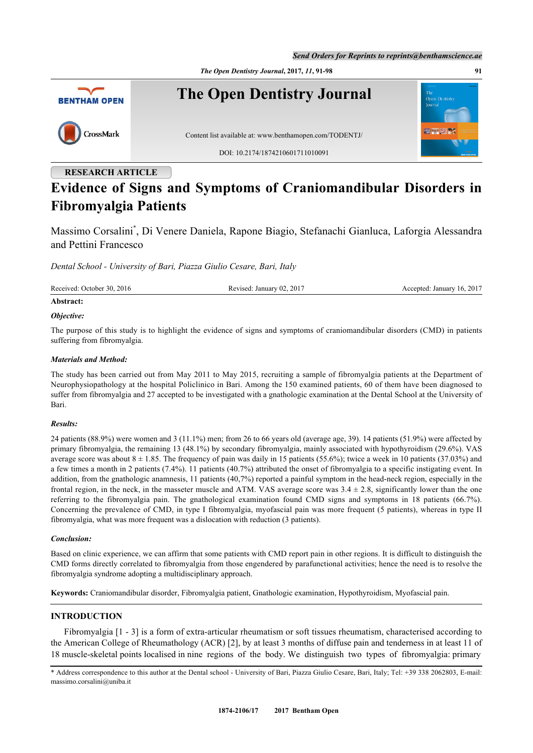*Send Orders for Reprints to reprints@benthamscience.ae*



# **Evidence of Signs and Symptoms of Craniomandibular Disorders in Fibromyalgia Patients**

Massimo Corsalini[\\*](#page-0-0) , Di Venere Daniela, Rapone Biagio, Stefanachi Gianluca, Laforgia Alessandra and Pettini Francesco

*Dental School - University of Bari, Piazza Giulio Cesare, Bari, Italy*

Received: October 30, 2016 Revised: January 02, 2017 Accepted: January 16, 2017

#### **Abstract:**

#### *Objective:*

The purpose of this study is to highlight the evidence of signs and symptoms of craniomandibular disorders (CMD) in patients suffering from fibromyalgia.

## *Materials and Method:*

The study has been carried out from May 2011 to May 2015, recruiting a sample of fibromyalgia patients at the Department of Neurophysiopathology at the hospital Policlinico in Bari. Among the 150 examined patients, 60 of them have been diagnosed to suffer from fibromyalgia and 27 accepted to be investigated with a gnathologic examination at the Dental School at the University of Bari.

#### *Results:*

24 patients (88.9%) were women and 3 (11.1%) men; from 26 to 66 years old (average age, 39). 14 patients (51.9%) were affected by primary fibromyalgia, the remaining 13 (48.1%) by secondary fibromyalgia, mainly associated with hypothyroidism (29.6%). VAS average score was about  $8 \pm 1.85$ . The frequency of pain was daily in 15 patients (55.6%); twice a week in 10 patients (37.03%) and a few times a month in 2 patients (7.4%). 11 patients (40.7%) attributed the onset of fibromyalgia to a specific instigating event. In addition, from the gnathologic anamnesis, 11 patients (40,7%) reported a painful symptom in the head-neck region, especially in the frontal region, in the neck, in the masseter muscle and ATM. VAS average score was  $3.4 \pm 2.8$ , significantly lower than the one referring to the fibromyalgia pain. The gnathological examination found CMD signs and symptoms in 18 patients (66.7%). Concerning the prevalence of CMD, in type I fibromyalgia, myofascial pain was more frequent (5 patients), whereas in type II fibromyalgia, what was more frequent was a dislocation with reduction (3 patients).

#### *Conclusion:*

Based on clinic experience, we can affirm that some patients with CMD report pain in other regions. It is difficult to distinguish the CMD forms directly correlated to fibromyalgia from those engendered by parafunctional activities; hence the need is to resolve the fibromyalgia syndrome adopting a multidisciplinary approach.

**Keywords:** Craniomandibular disorder, Fibromyalgia patient, Gnathologic examination, Hypothyroidism, Myofascial pain.

# **INTRODUCTION**

Fibromyalgia [[1](#page-6-0) - [3\]](#page-6-1) is a form of extra-articular rheumatism or soft tissues rheumatism, characterised according to the American College of Rheumathology (ACR) [[2\]](#page-6-2), by at least 3 months of diffuse pain and tenderness in at least 11 of 18 muscle-skeletal points localised in nine regions of the body. We distinguish two types of fibromyalgia: primary

<span id="page-0-0"></span>\* Address correspondence to this author at the Dental school - University of Bari, Piazza Giulio Cesare, Bari, Italy; Tel: +39 338 2062803, E-mail: [massimo.corsalini@uniba.it](mailto:massimo.corsalini@uniba.it)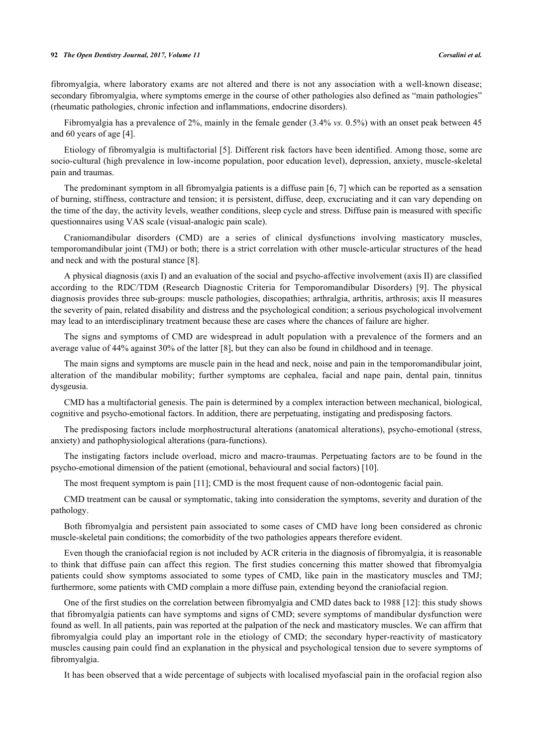#### **92** *The Open Dentistry Journal, 2017, Volume 11 Corsalini et al.*

fibromyalgia, where laboratory exams are not altered and there is not any association with a well-known disease; secondary fibromyalgia, where symptoms emerge in the course of other pathologies also defined as "main pathologies" (rheumatic pathologies, chronic infection and inflammations, endocrine disorders).

Fibromyalgia has a prevalence of 2%, mainly in the female gender (3.4% *vs.* 0.5%) with an onset peak between 45 and 60 years of age [\[4](#page-6-3)].

Etiology of fibromyalgia is multifactorial [[5\]](#page-6-4). Different risk factors have been identified. Among those, some are socio-cultural (high prevalence in low-income population, poor education level), depression, anxiety, muscle-skeletal pain and traumas.

The predominant symptom in all fibromyalgia patients is a diffuse pain [\[6](#page-6-5), [7\]](#page-6-6) which can be reported as a sensation of burning, stiffness, contracture and tension; it is persistent, diffuse, deep, excruciating and it can vary depending on the time of the day, the activity levels, weather conditions, sleep cycle and stress. Diffuse pain is measured with specific questionnaires using VAS scale (visual-analogic pain scale).

Craniomandibular disorders (CMD) are a series of clinical dysfunctions involving masticatory muscles, temporomandibular joint (TMJ) or both; there is a strict correlation with other muscle-articular structures of the head and neck and with the postural stance [\[8](#page-7-0)].

A physical diagnosis (axis I) and an evaluation of the social and psycho-affective involvement (axis II) are classified according to the RDC/TDM (Research Diagnostic Criteria for Temporomandibular Disorders) [\[9\]](#page-7-1). The physical diagnosis provides three sub-groups: muscle pathologies, discopathies; arthralgia, arthritis, arthrosis; axis II measures the severity of pain, related disability and distress and the psychological condition; a serious psychological involvement may lead to an interdisciplinary treatment because these are cases where the chances of failure are higher.

The signs and symptoms of CMD are widespread in adult population with a prevalence of the formers and an average value of 44% against 30% of the latter [[8\]](#page-7-0), but they can also be found in childhood and in teenage.

The main signs and symptoms are muscle pain in the head and neck, noise and pain in the temporomandibular joint, alteration of the mandibular mobility; further symptoms are cephalea, facial and nape pain, dental pain, tinnitus dysgeusia.

CMD has a multifactorial genesis. The pain is determined by a complex interaction between mechanical, biological, cognitive and psycho-emotional factors. In addition, there are perpetuating, instigating and predisposing factors.

The predisposing factors include morphostructural alterations (anatomical alterations), psycho-emotional (stress, anxiety) and pathophysiological alterations (para-functions).

The instigating factors include overload, micro and macro-traumas. Perpetuating factors are to be found in the psycho-emotional dimension of the patient (emotional, behavioural and social factors) [\[10](#page-7-2)].

The most frequent symptom is pain [\[11](#page-7-3)]; CMD is the most frequent cause of non-odontogenic facial pain.

CMD treatment can be causal or symptomatic, taking into consideration the symptoms, severity and duration of the pathology.

Both fibromyalgia and persistent pain associated to some cases of CMD have long been considered as chronic muscle-skeletal pain conditions; the comorbidity of the two pathologies appears therefore evident.

Even though the craniofacial region is not included by ACR criteria in the diagnosis of fibromyalgia, it is reasonable to think that diffuse pain can affect this region. The first studies concerning this matter showed that fibromyalgia patients could show symptoms associated to some types of CMD, like pain in the masticatory muscles and TMJ; furthermore, some patients with CMD complain a more diffuse pain, extending beyond the craniofacial region.

One of the first studies on the correlation between fibromyalgia and CMD dates back to 1988 [\[12](#page-7-4)]: this study shows that fibromyalgia patients can have symptoms and signs of CMD; severe symptoms of mandibular dysfunction were found as well. In all patients, pain was reported at the palpation of the neck and masticatory muscles. We can affirm that fibromyalgia could play an important role in the etiology of CMD; the secondary hyper-reactivity of masticatory muscles causing pain could find an explanation in the physical and psychological tension due to severe symptoms of fibromyalgia.

It has been observed that a wide percentage of subjects with localised myofascial pain in the orofacial region also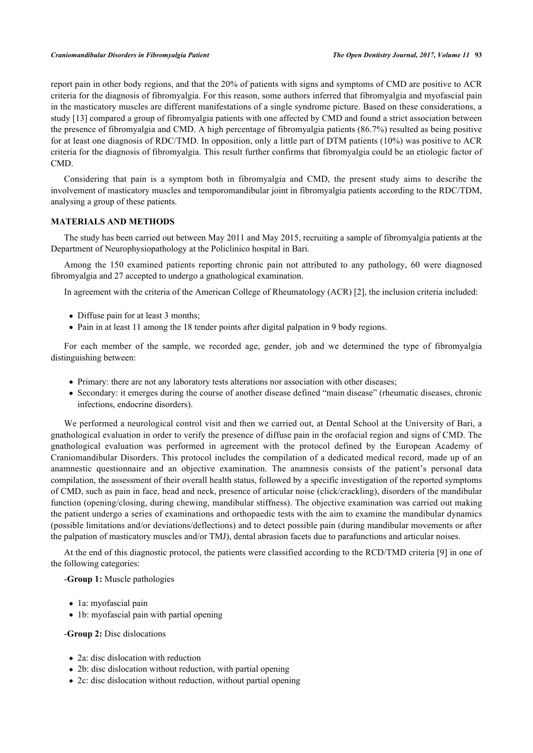#### *Craniomandibular Disorders in Fibromyalgia Patient The Open Dentistry Journal, 2017, Volume 11* **93**

report pain in other body regions, and that the 20% of patients with signs and symptoms of CMD are positive to ACR criteria for the diagnosis of fibromyalgia. For this reason, some authors inferred that fibromyalgia and myofascial pain in the masticatory muscles are different manifestations of a single syndrome picture. Based on these considerations, a study [\[13](#page-7-5)] compared a group of fibromyalgia patients with one affected by CMD and found a strict association between the presence of fibromyalgia and CMD. A high percentage of fibromyalgia patients (86.7%) resulted as being positive for at least one diagnosis of RDC/TMD. In opposition, only a little part of DTM patients (10%) was positive to ACR criteria for the diagnosis of fibromyalgia. This result further confirms that fibromyalgia could be an etiologic factor of CMD.

Considering that pain is a symptom both in fibromyalgia and CMD, the present study aims to describe the involvement of masticatory muscles and temporomandibular joint in fibromyalgia patients according to the RDC/TDM, analysing a group of these patients.

### **MATERIALS AND METHODS**

The study has been carried out between May 2011 and May 2015, recruiting a sample of fibromyalgia patients at the Department of Neurophysiopathology at the Policlinico hospital in Bari.

Among the 150 examined patients reporting chronic pain not attributed to any pathology, 60 were diagnosed fibromyalgia and 27 accepted to undergo a gnathological examination.

In agreement with the criteria of the American College of Rheumatology (ACR) [[2\]](#page-6-2), the inclusion criteria included:

- Diffuse pain for at least 3 months;
- Pain in at least 11 among the 18 tender points after digital palpation in 9 body regions.

For each member of the sample, we recorded age, gender, job and we determined the type of fibromyalgia distinguishing between:

- Primary: there are not any laboratory tests alterations nor association with other diseases;
- Secondary: it emerges during the course of another disease defined "main disease" (rheumatic diseases, chronic infections, endocrine disorders).

We performed a neurological control visit and then we carried out, at Dental School at the University of Bari, a gnathological evaluation in order to verify the presence of diffuse pain in the orofacial region and signs of CMD. The gnathological evaluation was performed in agreement with the protocol defined by the European Academy of Craniomandibular Disorders. This protocol includes the compilation of a dedicated medical record, made up of an anamnestic questionnaire and an objective examination. The anamnesis consists of the patient's personal data compilation, the assessment of their overall health status, followed by a specific investigation of the reported symptoms of CMD, such as pain in face, head and neck, presence of articular noise (click/crackling), disorders of the mandibular function (opening/closing, during chewing, mandibular stiffness). The objective examination was carried out making the patient undergo a series of examinations and orthopaedic tests with the aim to examine the mandibular dynamics (possible limitations and/or deviations/deflections) and to detect possible pain (during mandibular movements or after the palpation of masticatory muscles and/or TMJ), dental abrasion facets due to parafunctions and articular noises.

At the end of this diagnostic protocol, the patients were classified according to the RCD/TMD criteria [\[9](#page-7-1)] in one of the following categories:

#### -**Group 1:** Muscle pathologies

- la: myofascial pain
- 1b: myofascial pain with partial opening

-**Group 2:** Disc dislocations

- 2a: disc dislocation with reduction
- 2b: disc dislocation without reduction, with partial opening
- 2c: disc dislocation without reduction, without partial opening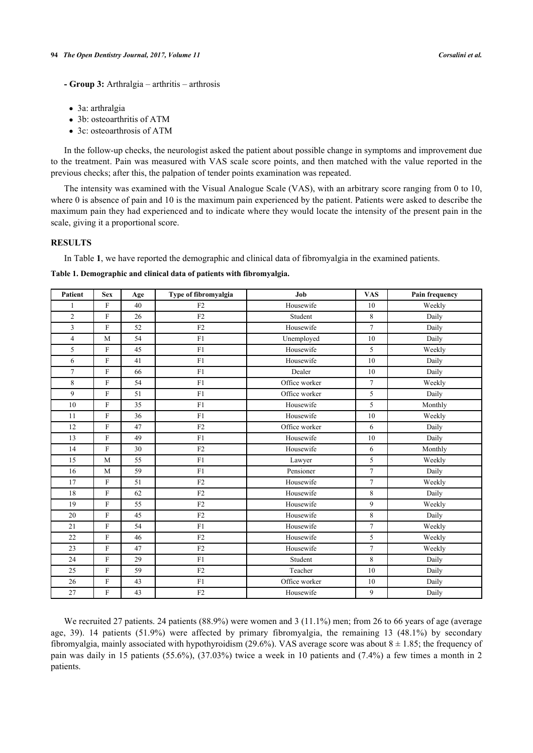- **Group 3:** Arthralgia arthritis arthrosis
- 3a: arthralgia
- 3b: osteoarthritis of ATM
- 3c: osteoarthrosis of ATM

In the follow-up checks, the neurologist asked the patient about possible change in symptoms and improvement due to the treatment. Pain was measured with VAS scale score points, and then matched with the value reported in the previous checks; after this, the palpation of tender points examination was repeated.

The intensity was examined with the Visual Analogue Scale (VAS), with an arbitrary score ranging from 0 to 10, where 0 is absence of pain and 10 is the maximum pain experienced by the patient. Patients were asked to describe the maximum pain they had experienced and to indicate where they would locate the intensity of the present pain in the scale, giving it a proportional score.

#### **RESULTS**

In Table **[1](#page-3-0)**, we have reported the demographic and clinical data of fibromyalgia in the examined patients.

#### <span id="page-3-0"></span>**Table 1. Demographic and clinical data of patients with fibromyalgia.**

| Patient        | <b>Sex</b>     | Age | Type of fibromyalgia | Job           | <b>VAS</b>     | <b>Pain frequency</b> |  |
|----------------|----------------|-----|----------------------|---------------|----------------|-----------------------|--|
| $\mathbf{1}$   | $\mathbf F$    | 40  | F2                   | Housewife     | 10             | Weekly                |  |
| $\overline{2}$ | $\overline{F}$ | 26  | F2                   | Student       | 8              | Daily                 |  |
| $\overline{3}$ | $\mathbf{F}$   | 52  | F2                   | Housewife     | $\overline{7}$ | Daily                 |  |
| $\overline{4}$ | M              | 54  | F1                   | Unemployed    | 10             | Daily                 |  |
| 5              | $\mathbf F$    | 45  | F1                   | Housewife     | 5              | Weekly                |  |
| 6              | $\overline{F}$ | 41  | F1                   | Housewife     | 10             | Daily                 |  |
| $\overline{7}$ | $\mathbf F$    | 66  | F1                   | Dealer        | 10             | Daily                 |  |
| 8              | $\mathbf F$    | 54  | ${\rm F}1$           | Office worker | $\overline{7}$ | Weekly                |  |
| 9              | $\mathbf{F}$   | 51  | F1                   | Office worker | 5              | Daily                 |  |
| 10             | $\mathbf F$    | 35  | F1                   | Housewife     | 5              | Monthly               |  |
| 11             | $\mathbf F$    | 36  | F1                   | Housewife     | 10             | Weekly                |  |
| 12             | $\overline{F}$ | 47  | F2                   | Office worker | 6              | Daily                 |  |
| 13             | $\overline{F}$ | 49  | F1                   | Housewife     | 10             | Daily                 |  |
| 14             | ${\rm F}$      | 30  | F2                   | Housewife     | 6              | Monthly               |  |
| 15             | M              | 55  | F1                   | Lawyer        | 5              | Weekly                |  |
| 16             | M              | 59  | F1                   | Pensioner     | $\overline{7}$ | Daily                 |  |
| 17             | ${\rm F}$      | 51  | F2                   | Housewife     | $\overline{7}$ | Weekly                |  |
| 18             | F              | 62  | F2                   | Housewife     | 8              | Daily                 |  |
| 19             | $\overline{F}$ | 55  | F2                   | Housewife     | 9              | Weekly                |  |
| 20             | ${\rm F}$      | 45  | F2                   | Housewife     | 8              | Daily                 |  |
| 21             | $\mathbf{F}$   | 54  | F1                   | Housewife     | $\overline{7}$ | Weekly                |  |
| 22             | $\overline{F}$ | 46  | F2                   | Housewife     | 5              | Weekly                |  |
| 23             | F              | 47  | F2                   | Housewife     | $\overline{7}$ | Weekly                |  |
| 24             | $\overline{F}$ | 29  | F1                   | Student       | 8              | Daily                 |  |
| 25             | $\mathbf{F}$   | 59  | ${\rm F2}$           | Teacher       | 10             | Daily                 |  |
| 26             | F              | 43  | F1                   | Office worker | 10             | Daily                 |  |
| 27             | F              | 43  | F2                   | Housewife     | 9              | Daily                 |  |

We recruited 27 patients. 24 patients (88.9%) were women and 3 (11.1%) men; from 26 to 66 years of age (average age, 39). 14 patients (51.9%) were affected by primary fibromyalgia, the remaining 13 (48.1%) by secondary fibromyalgia, mainly associated with hypothyroidism (29.6%). VAS average score was about  $8 \pm 1.85$ ; the frequency of pain was daily in 15 patients (55.6%), (37.03%) twice a week in 10 patients and (7.4%) a few times a month in 2 patients.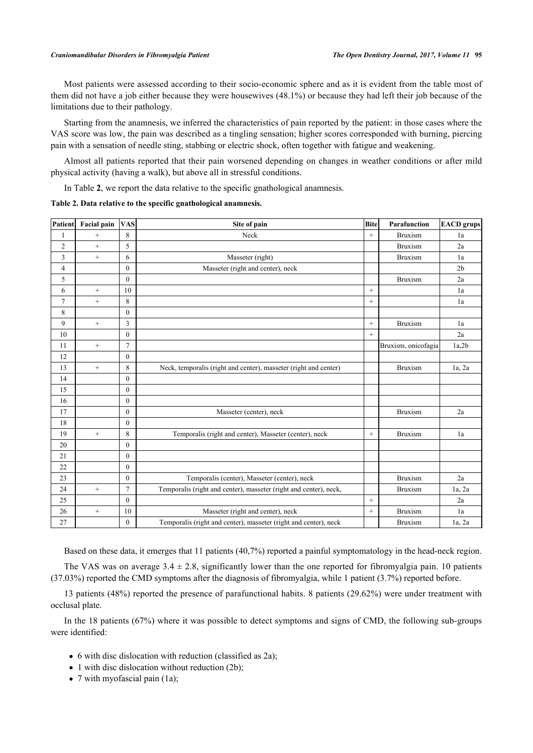Most patients were assessed according to their socio-economic sphere and as it is evident from the table most of them did not have a job either because they were housewives (48.1%) or because they had left their job because of the limitations due to their pathology.

Starting from the anamnesis, we inferred the characteristics of pain reported by the patient: in those cases where the VAS score was low, the pain was described as a tingling sensation; higher scores corresponded with burning, piercing pain with a sensation of needle sting, stabbing or electric shock, often together with fatigue and weakening.

Almost all patients reported that their pain worsened depending on changes in weather conditions or after mild physical activity (having a walk), but above all in stressful conditions.

In Table **[2](#page-4-0)**, we report the data relative to the specific gnathological anamnesis.

<span id="page-4-0"></span>**Table 2. Data relative to the specific gnathological anamnesis.**

| Patient        | Facial pain       | <b>VAS</b>     | Site of pain                                                      |        | <b>Bite</b><br>Parafunction | <b>EACD</b> grups |
|----------------|-------------------|----------------|-------------------------------------------------------------------|--------|-----------------------------|-------------------|
| 1              | $^{+}$            | 8              | Neck                                                              | $^{+}$ | <b>Bruxism</b>              | 1a                |
| $\overline{c}$ | $^{+}$            | 5              |                                                                   |        | <b>Bruxism</b>              | 2a                |
| 3              | $+$               | 6              | Masseter (right)                                                  |        | <b>Bruxism</b>              | 1a                |
| 4              |                   | $\mathbf{0}$   | Masseter (right and center), neck                                 |        |                             | 2 <sub>b</sub>    |
| 5              |                   | $\theta$       |                                                                   |        | <b>Bruxism</b>              | 2a                |
| 6              | $+$               | 10             |                                                                   | $^{+}$ |                             | 1a                |
| $\overline{7}$ | $+$               | 8              |                                                                   | $^{+}$ |                             | 1a                |
| 8              |                   | $\mathbf{0}$   |                                                                   |        |                             |                   |
| 9              | $^{+}$            | 3              |                                                                   | $^{+}$ | <b>Bruxism</b>              | 1a                |
| 10             |                   | $\mathbf{0}$   |                                                                   | $^{+}$ |                             | 2a                |
| 11             | $^{+}$            | $\overline{7}$ |                                                                   |        | Bruxism, onicofagia         | 1a,2b             |
| 12             |                   | $\theta$       |                                                                   |        |                             |                   |
| 13             | $^{+}$            | 8              | Neck, temporalis (right and center), masseter (right and center)  |        | <b>Bruxism</b>              | $1a$ , $2a$       |
| 14             |                   | $\mathbf{0}$   |                                                                   |        |                             |                   |
| 15             |                   | $\theta$       |                                                                   |        |                             |                   |
| 16             |                   | $\Omega$       |                                                                   |        |                             |                   |
| 17             |                   | $\mathbf{0}$   | Masseter (center), neck                                           |        | <b>Bruxism</b>              | 2a                |
| 18             |                   | $\theta$       |                                                                   |        |                             |                   |
| 19             | $+$               | 8              | Temporalis (right and center), Masseter (center), neck            | $^{+}$ | <b>Bruxism</b>              | 1a                |
| 20             |                   | $\mathbf{0}$   |                                                                   |        |                             |                   |
| 21             |                   | $\theta$       |                                                                   |        |                             |                   |
| 22             |                   | $\theta$       |                                                                   |        |                             |                   |
| 23             |                   | $\mathbf{0}$   | Temporalis (center), Masseter (center), neck                      |        | <b>Bruxism</b>              | 2a                |
| 24             | $+$               | $\overline{7}$ | Temporalis (right and center), masseter (right and center), neck, |        | <b>Bruxism</b>              | 1a, 2a            |
| 25             |                   | $\theta$       |                                                                   | $+$    |                             | 2a                |
| 26             | $\qquad \qquad +$ | 10             | Masseter (right and center), neck                                 | $^{+}$ | <b>Bruxism</b>              | 1a                |
| 27             |                   | $\mathbf{0}$   | Temporalis (right and center), masseter (right and center), neck  |        | <b>Bruxism</b>              | 1a, 2a            |

Based on these data, it emerges that 11 patients (40,7%) reported a painful symptomatology in the head-neck region.

The VAS was on average  $3.4 \pm 2.8$ , significantly lower than the one reported for fibromyalgia pain. 10 patients (37.03%) reported the CMD symptoms after the diagnosis of fibromyalgia, while 1 patient (3.7%) reported before.

13 patients (48%) reported the presence of parafunctional habits. 8 patients (29.62%) were under treatment with occlusal plate.

In the 18 patients (67%) where it was possible to detect symptoms and signs of CMD, the following sub-groups were identified:

- 6 with disc dislocation with reduction (classified as 2a);
- $\bullet$  1 with disc dislocation without reduction (2b);
- 7 with myofascial pain (1a);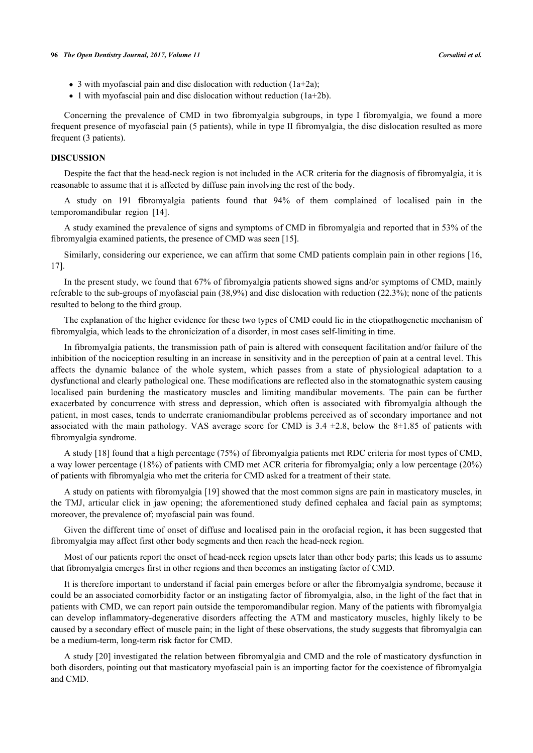- $\bullet$  3 with myofascial pain and disc dislocation with reduction (1a+2a);
- 1 with myofascial pain and disc dislocation without reduction  $(1a+2b)$ .

Concerning the prevalence of CMD in two fibromyalgia subgroups, in type I fibromyalgia, we found a more frequent presence of myofascial pain (5 patients), while in type II fibromyalgia, the disc dislocation resulted as more frequent (3 patients).

#### **DISCUSSION**

Despite the fact that the head-neck region is not included in the ACR criteria for the diagnosis of fibromyalgia, it is reasonable to assume that it is affected by diffuse pain involving the rest of the body.

A study on 191 fibromyalgia patients found that 94% of them complained of localised pain in the temporomandibular region [\[14](#page-7-6)].

A study examined the prevalence of signs and symptoms of CMD in fibromyalgia and reported that in 53% of the fibromyalgia examined patients, the presence of CMD was seen [\[15](#page-7-7)].

Similarly, considering our experience, we can affirm that some CMD patients complain pain in other regions [[16](#page-7-8), [17\]](#page-7-9).

In the present study, we found that 67% of fibromyalgia patients showed signs and/or symptoms of CMD, mainly referable to the sub-groups of myofascial pain (38,9%) and disc dislocation with reduction (22.3%); none of the patients resulted to belong to the third group.

The explanation of the higher evidence for these two types of CMD could lie in the etiopathogenetic mechanism of fibromyalgia, which leads to the chronicization of a disorder, in most cases self-limiting in time.

In fibromyalgia patients, the transmission path of pain is altered with consequent facilitation and/or failure of the inhibition of the nociception resulting in an increase in sensitivity and in the perception of pain at a central level. This affects the dynamic balance of the whole system, which passes from a state of physiological adaptation to a dysfunctional and clearly pathological one. These modifications are reflected also in the stomatognathic system causing localised pain burdening the masticatory muscles and limiting mandibular movements. The pain can be further exacerbated by concurrence with stress and depression, which often is associated with fibromyalgia although the patient, in most cases, tends to underrate craniomandibular problems perceived as of secondary importance and not associated with the main pathology. VAS average score for CMD is  $3.4 \pm 2.8$ , below the 8 $\pm 1.85$  of patients with fibromyalgia syndrome.

A study [\[18](#page-7-10)] found that a high percentage (75%) of fibromyalgia patients met RDC criteria for most types of CMD, a way lower percentage (18%) of patients with CMD met ACR criteria for fibromyalgia; only a low percentage (20%) of patients with fibromyalgia who met the criteria for CMD asked for a treatment of their state.

A study on patients with fibromyalgia [[19\]](#page-7-11) showed that the most common signs are pain in masticatory muscles, in the TMJ, articular click in jaw opening; the aforementioned study defined cephalea and facial pain as symptoms; moreover, the prevalence of; myofascial pain was found.

Given the different time of onset of diffuse and localised pain in the orofacial region, it has been suggested that fibromyalgia may affect first other body segments and then reach the head-neck region.

Most of our patients report the onset of head-neck region upsets later than other body parts; this leads us to assume that fibromyalgia emerges first in other regions and then becomes an instigating factor of CMD.

It is therefore important to understand if facial pain emerges before or after the fibromyalgia syndrome, because it could be an associated comorbidity factor or an instigating factor of fibromyalgia, also, in the light of the fact that in patients with CMD, we can report pain outside the temporomandibular region. Many of the patients with fibromyalgia can develop inflammatory-degenerative disorders affecting the ATM and masticatory muscles, highly likely to be caused by a secondary effect of muscle pain; in the light of these observations, the study suggests that fibromyalgia can be a medium-term, long-term risk factor for CMD.

A study [\[20\]](#page-7-12) investigated the relation between fibromyalgia and CMD and the role of masticatory dysfunction in both disorders, pointing out that masticatory myofascial pain is an importing factor for the coexistence of fibromyalgia and CMD.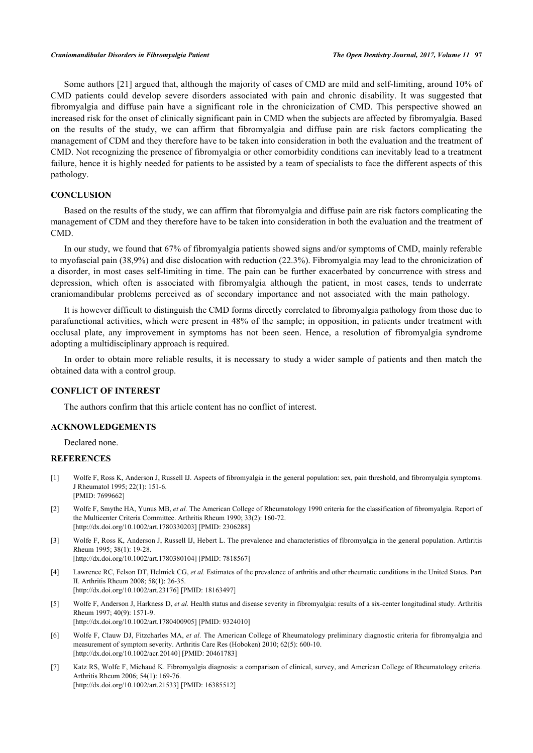Some authors [\[21](#page-7-13)] argued that, although the majority of cases of CMD are mild and self-limiting, around 10% of CMD patients could develop severe disorders associated with pain and chronic disability. It was suggested that fibromyalgia and diffuse pain have a significant role in the chronicization of CMD. This perspective showed an increased risk for the onset of clinically significant pain in CMD when the subjects are affected by fibromyalgia. Based on the results of the study, we can affirm that fibromyalgia and diffuse pain are risk factors complicating the management of CDM and they therefore have to be taken into consideration in both the evaluation and the treatment of CMD. Not recognizing the presence of fibromyalgia or other comorbidity conditions can inevitably lead to a treatment failure, hence it is highly needed for patients to be assisted by a team of specialists to face the different aspects of this pathology.

# **CONCLUSION**

Based on the results of the study, we can affirm that fibromyalgia and diffuse pain are risk factors complicating the management of CDM and they therefore have to be taken into consideration in both the evaluation and the treatment of CMD.

In our study, we found that 67% of fibromyalgia patients showed signs and/or symptoms of CMD, mainly referable to myofascial pain (38,9%) and disc dislocation with reduction (22.3%). Fibromyalgia may lead to the chronicization of a disorder, in most cases self-limiting in time. The pain can be further exacerbated by concurrence with stress and depression, which often is associated with fibromyalgia although the patient, in most cases, tends to underrate craniomandibular problems perceived as of secondary importance and not associated with the main pathology.

It is however difficult to distinguish the CMD forms directly correlated to fibromyalgia pathology from those due to parafunctional activities, which were present in 48% of the sample; in opposition, in patients under treatment with occlusal plate, any improvement in symptoms has not been seen. Hence, a resolution of fibromyalgia syndrome adopting a multidisciplinary approach is required.

In order to obtain more reliable results, it is necessary to study a wider sample of patients and then match the obtained data with a control group.

#### **CONFLICT OF INTEREST**

The authors confirm that this article content has no conflict of interest.

# **ACKNOWLEDGEMENTS**

Declared none.

#### **REFERENCES**

- <span id="page-6-0"></span>[1] Wolfe F, Ross K, Anderson J, Russell IJ. Aspects of fibromyalgia in the general population: sex, pain threshold, and fibromyalgia symptoms. J Rheumatol 1995; 22(1): 151-6. [PMID: [7699662\]](http://www.ncbi.nlm.nih.gov/pubmed/7699662)
- <span id="page-6-2"></span>[2] Wolfe F, Smythe HA, Yunus MB, et al. The American College of Rheumatology 1990 criteria for the classification of fibromyalgia. Report of the Multicenter Criteria Committee. Arthritis Rheum 1990; 33(2): 160-72. [\[http://dx.doi.org/10.1002/art.1780330203](http://dx.doi.org/10.1002/art.1780330203)] [PMID: [2306288\]](http://www.ncbi.nlm.nih.gov/pubmed/2306288)
- <span id="page-6-1"></span>[3] Wolfe F, Ross K, Anderson J, Russell IJ, Hebert L. The prevalence and characteristics of fibromyalgia in the general population. Arthritis Rheum 1995; 38(1): 19-28.
	- [\[http://dx.doi.org/10.1002/art.1780380104](http://dx.doi.org/10.1002/art.1780380104)] [PMID: [7818567\]](http://www.ncbi.nlm.nih.gov/pubmed/7818567)
- <span id="page-6-3"></span>[4] Lawrence RC, Felson DT, Helmick CG, *et al.* Estimates of the prevalence of arthritis and other rheumatic conditions in the United States. Part II. Arthritis Rheum 2008; 58(1): 26-35. [\[http://dx.doi.org/10.1002/art.23176](http://dx.doi.org/10.1002/art.23176)] [PMID: [18163497\]](http://www.ncbi.nlm.nih.gov/pubmed/18163497)
- <span id="page-6-4"></span>[5] Wolfe F, Anderson J, Harkness D, *et al.* Health status and disease severity in fibromyalgia: results of a six-center longitudinal study. Arthritis Rheum 1997; 40(9): 1571-9. [\[http://dx.doi.org/10.1002/art.1780400905](http://dx.doi.org/10.1002/art.1780400905)] [PMID: [9324010\]](http://www.ncbi.nlm.nih.gov/pubmed/9324010)
- <span id="page-6-5"></span>[6] Wolfe F, Clauw DJ, Fitzcharles MA, *et al.* The American College of Rheumatology preliminary diagnostic criteria for fibromyalgia and measurement of symptom severity. Arthritis Care Res (Hoboken) 2010; 62(5): 600-10. [\[http://dx.doi.org/10.1002/acr.20140\]](http://dx.doi.org/10.1002/acr.20140) [PMID: [20461783](http://www.ncbi.nlm.nih.gov/pubmed/20461783)]
- <span id="page-6-6"></span>[7] Katz RS, Wolfe F, Michaud K. Fibromyalgia diagnosis: a comparison of clinical, survey, and American College of Rheumatology criteria. Arthritis Rheum 2006; 54(1): 169-76. [\[http://dx.doi.org/10.1002/art.21533](http://dx.doi.org/10.1002/art.21533)] [PMID: [16385512\]](http://www.ncbi.nlm.nih.gov/pubmed/16385512)